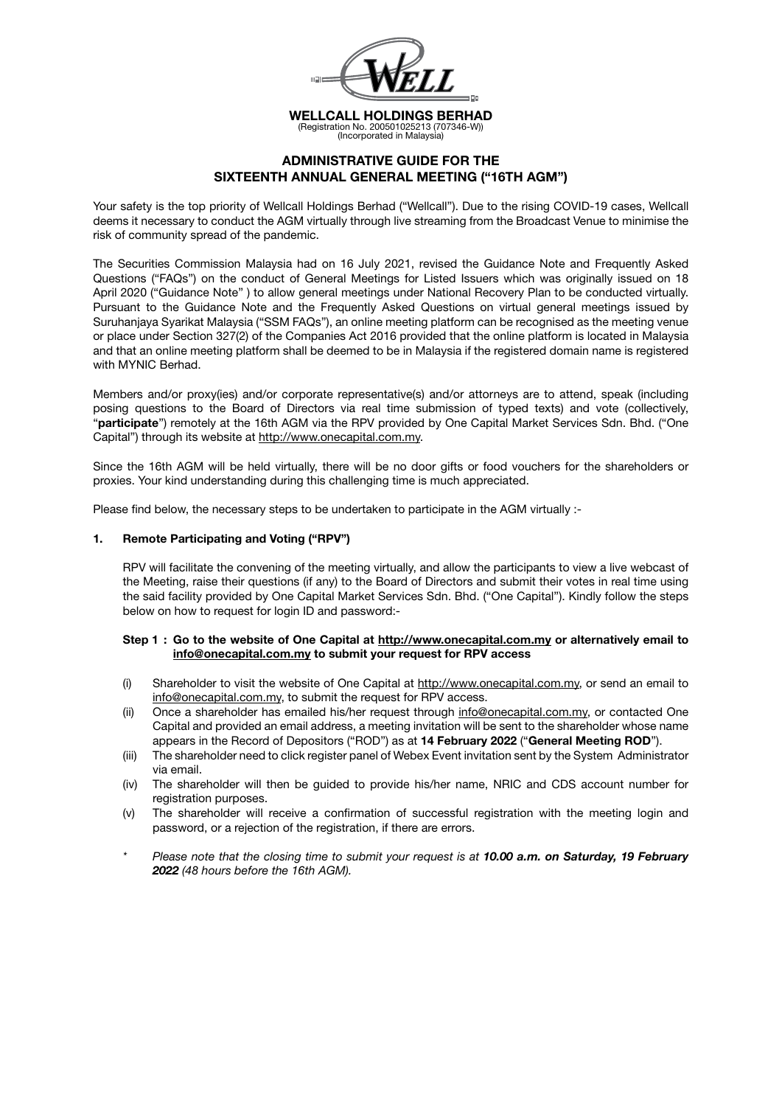

## ADMINISTRATIVE GUIDE FOR THE SIXTEENTH ANNUAL GENERAL MEETING ("16TH AGM")

Your safety is the top priority of Wellcall Holdings Berhad ("Wellcall"). Due to the rising COVID-19 cases, Wellcall deems it necessary to conduct the AGM virtually through live streaming from the Broadcast Venue to minimise the risk of community spread of the pandemic.

The Securities Commission Malaysia had on 16 July 2021, revised the Guidance Note and Frequently Asked Questions ("FAQs") on the conduct of General Meetings for Listed Issuers which was originally issued on 18 April 2020 ("Guidance Note" ) to allow general meetings under National Recovery Plan to be conducted virtually. Pursuant to the Guidance Note and the Frequently Asked Questions on virtual general meetings issued by Suruhanjaya Syarikat Malaysia ("SSM FAQs"), an online meeting platform can be recognised as the meeting venue or place under Section 327(2) of the Companies Act 2016 provided that the online platform is located in Malaysia and that an online meeting platform shall be deemed to be in Malaysia if the registered domain name is registered with MYNIC Berhad.

Members and/or proxy(ies) and/or corporate representative(s) and/or attorneys are to attend, speak (including posing questions to the Board of Directors via real time submission of typed texts) and vote (collectively, "participate") remotely at the 16th AGM via the RPV provided by One Capital Market Services Sdn. Bhd. ("One Capital") through its website at http://www.onecapital.com.my.

Since the 16th AGM will be held virtually, there will be no door gifts or food vouchers for the shareholders or proxies. Your kind understanding during this challenging time is much appreciated.

Please find below, the necessary steps to be undertaken to participate in the AGM virtually :-

## 1. Remote Participating and Voting ("RPV")

RPV will facilitate the convening of the meeting virtually, and allow the participants to view a live webcast of the Meeting, raise their questions (if any) to the Board of Directors and submit their votes in real time using the said facility provided by One Capital Market Services Sdn. Bhd. ("One Capital"). Kindly follow the steps below on how to request for login ID and password:-

#### Step 1 : Go to the website of One Capital at http://www.onecapital.com.my or alternatively email to info@onecapital.com.my to submit your request for RPV access

- (i) Shareholder to visit the website of One Capital at http://www.onecapital.com.my, or send an email to info@onecapital.com.my, to submit the request for RPV access.
- (ii) Once a shareholder has emailed his/her request through info@onecapital.com.my, or contacted One Capital and provided an email address, a meeting invitation will be sent to the shareholder whose name appears in the Record of Depositors ("ROD") as at 14 February 2022 ("General Meeting ROD").
- (iii) The shareholder need to click register panel of Webex Event invitation sent by the System Administrator via email.
- (iv) The shareholder will then be guided to provide his/her name, NRIC and CDS account number for registration purposes.
- (v) The shareholder will receive a confirmation of successful registration with the meeting login and password, or a rejection of the registration, if there are errors.
- *\* Please note that the closing time to submit your request is at 10.00 a.m. on Saturday, 19 February 2022 (48 hours before the 16th AGM).*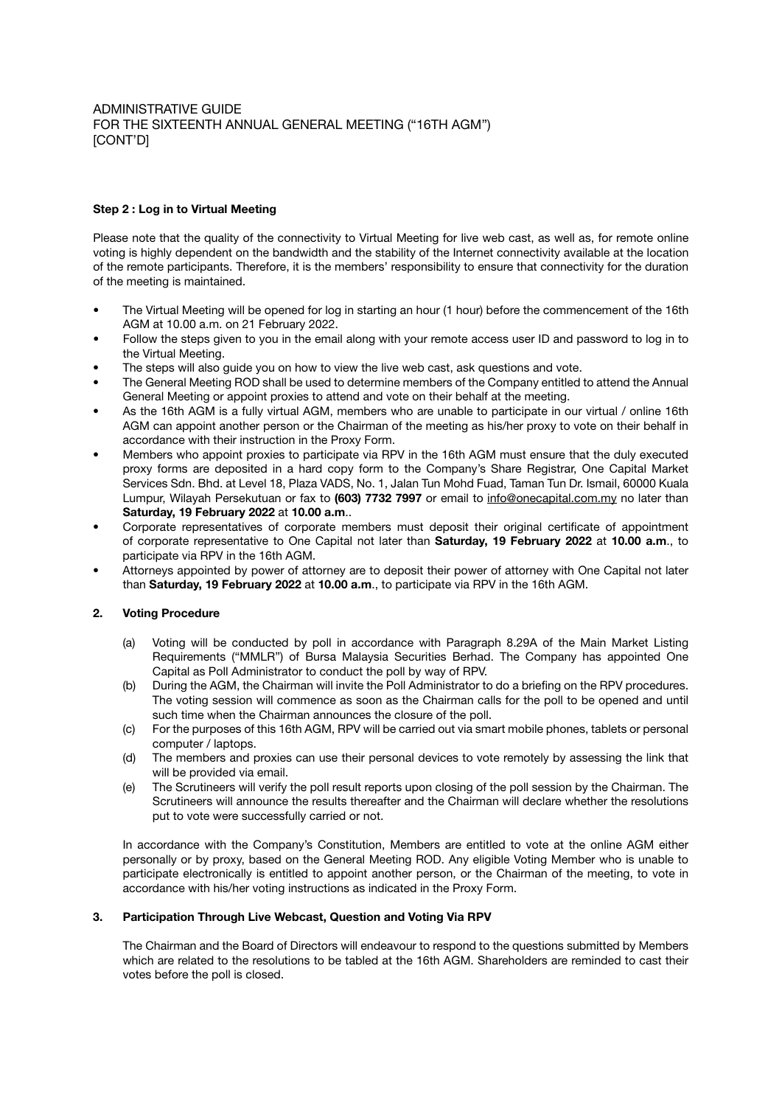# ADMINISTRATIVE GUIDE FOR THE SIXTEENTH ANNUAL GENERAL MEETING ("16TH AGM") [cont'd]

## Step 2 : Log in to Virtual Meeting

Please note that the quality of the connectivity to Virtual Meeting for live web cast, as well as, for remote online voting is highly dependent on the bandwidth and the stability of the Internet connectivity available at the location of the remote participants. Therefore, it is the members' responsibility to ensure that connectivity for the duration of the meeting is maintained.

- The Virtual Meeting will be opened for log in starting an hour (1 hour) before the commencement of the 16th AGM at 10.00 a.m. on 21 February 2022.
- Follow the steps given to you in the email along with your remote access user ID and password to log in to the Virtual Meeting.
- The steps will also quide you on how to view the live web cast, ask questions and vote.
- The General Meeting ROD shall be used to determine members of the Company entitled to attend the Annual General Meeting or appoint proxies to attend and vote on their behalf at the meeting.
- As the 16th AGM is a fully virtual AGM, members who are unable to participate in our virtual / online 16th AGM can appoint another person or the Chairman of the meeting as his/her proxy to vote on their behalf in accordance with their instruction in the Proxy Form.
- Members who appoint proxies to participate via RPV in the 16th AGM must ensure that the duly executed proxy forms are deposited in a hard copy form to the Company's Share Registrar, One Capital Market Services Sdn. Bhd. at Level 18, Plaza VADS, No. 1, Jalan Tun Mohd Fuad, Taman Tun Dr. Ismail, 60000 Kuala Lumpur, Wilayah Persekutuan or fax to (603) 7732 7997 or email to info@onecapital.com.my no later than Saturday, 19 February 2022 at 10.00 a.m..
- Corporate representatives of corporate members must deposit their original certificate of appointment of corporate representative to One Capital not later than Saturday, 19 February 2022 at 10.00 a.m., to participate via RPV in the 16th AGM.
- Attorneys appointed by power of attorney are to deposit their power of attorney with One Capital not later than Saturday, 19 February 2022 at 10.00 a.m., to participate via RPV in the 16th AGM.

### 2. Voting Procedure

- (a) Voting will be conducted by poll in accordance with Paragraph 8.29A of the Main Market Listing Requirements ("MMLR") of Bursa Malaysia Securities Berhad. The Company has appointed One Capital as Poll Administrator to conduct the poll by way of RPV.
- (b) During the AGM, the Chairman will invite the Poll Administrator to do a briefing on the RPV procedures. The voting session will commence as soon as the Chairman calls for the poll to be opened and until such time when the Chairman announces the closure of the poll.
- (c) For the purposes of this 16th AGM, RPV will be carried out via smart mobile phones, tablets or personal computer / laptops.
- (d) The members and proxies can use their personal devices to vote remotely by assessing the link that will be provided via email.
- (e) The Scrutineers will verify the poll result reports upon closing of the poll session by the Chairman. The Scrutineers will announce the results thereafter and the Chairman will declare whether the resolutions put to vote were successfully carried or not.

In accordance with the Company's Constitution, Members are entitled to vote at the online AGM either personally or by proxy, based on the General Meeting ROD. Any eligible Voting Member who is unable to participate electronically is entitled to appoint another person, or the Chairman of the meeting, to vote in accordance with his/her voting instructions as indicated in the Proxy Form.

#### 3. Participation Through Live Webcast, Question and Voting Via RPV

The Chairman and the Board of Directors will endeavour to respond to the questions submitted by Members which are related to the resolutions to be tabled at the 16th AGM. Shareholders are reminded to cast their votes before the poll is closed.